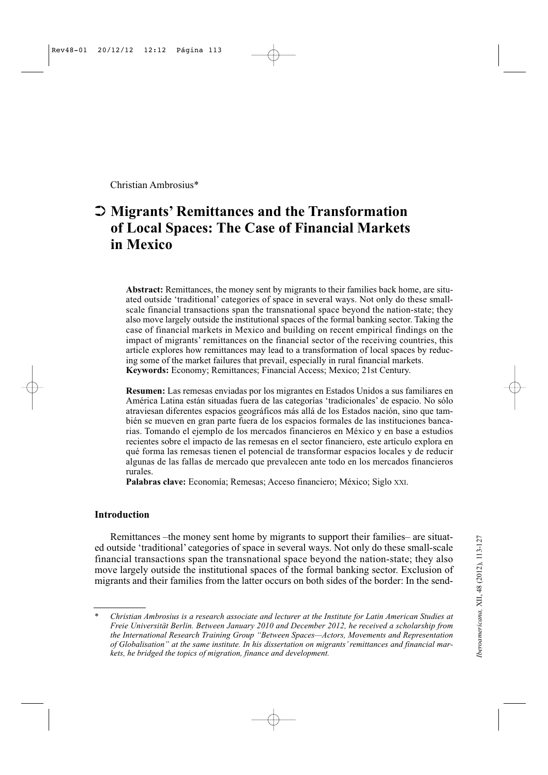Christian Ambrosius\*

# ➲ **Migrants' Remittances and the Transformation of Local Spaces: The Case of Financial Markets in Mexico**

**Abstract:** Remittances, the money sent by migrants to their families back home, are situated outside 'traditional' categories of space in several ways. Not only do these smallscale financial transactions span the transnational space beyond the nation-state; they also move largely outside the institutional spaces of the formal banking sector. Taking the case of financial markets in Mexico and building on recent empirical findings on the impact of migrants' remittances on the financial sector of the receiving countries, this article explores how remittances may lead to a transformation of local spaces by reducing some of the market failures that prevail, especially in rural financial markets. **Keywords:** Economy; Remittances; Financial Access; Mexico; 21st Century.

**Resumen:** Las remesas enviadas por los migrantes en Estados Unidos a sus familiares en América Latina están situadas fuera de las categorías 'tradicionales' de espacio. No sólo atraviesan diferentes espacios geográficos más allá de los Estados nación, sino que también se mueven en gran parte fuera de los espacios formales de las instituciones bancarias. Tomando el ejemplo de los mercados financieros en México y en base a estudios recientes sobre el impacto de las remesas en el sector financiero, este artículo explora en qué forma las remesas tienen el potencial de transformar espacios locales y de reducir algunas de las fallas de mercado que prevalecen ante todo en los mercados financieros rurales.

**Palabras clave:** Economía; Remesas; Acceso financiero; México; Siglo XXI.

# **Introduction**

Remittances –the money sent home by migrants to support their families– are situated outside 'traditional' categories of space in several ways. Not only do these small-scale financial transactions span the transnational space beyond the nation-state; they also move largely outside the institutional spaces of the formal banking sector. Exclusion of migrants and their families from the latter occurs on both sides of the border: In the send-

<sup>\*</sup> *Christian Ambrosius is a research associate and lecturer at the Institute for Latin American Studies at Freie Universität Berlin. Between January 2010 and December 2012, he received a scholarship from the International Research Training Group "Between Spaces—Actors, Movements and Representation of Globalisation" at the same institute. In his dissertation on migrants' remittances and financial markets, he bridged the topics of migration, finance and development.*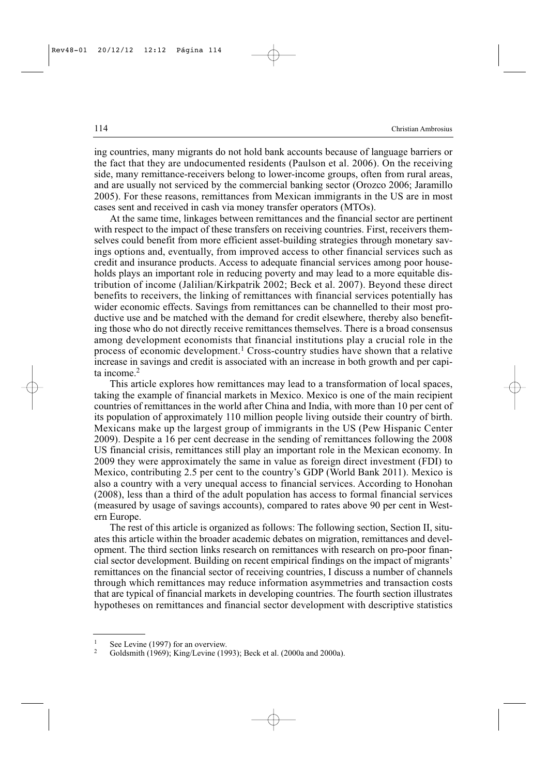ing countries, many migrants do not hold bank accounts because of language barriers or the fact that they are undocumented residents (Paulson et al. 2006). On the receiving side, many remittance-receivers belong to lower-income groups, often from rural areas, and are usually not serviced by the commercial banking sector (Orozco 2006; Jaramillo 2005). For these reasons, remittances from Mexican immigrants in the US are in most cases sent and received in cash via money transfer operators (MTOs).

At the same time, linkages between remittances and the financial sector are pertinent with respect to the impact of these transfers on receiving countries. First, receivers themselves could benefit from more efficient asset-building strategies through monetary savings options and, eventually, from improved access to other financial services such as credit and insurance products. Access to adequate financial services among poor households plays an important role in reducing poverty and may lead to a more equitable distribution of income (Jalilian/Kirkpatrik 2002; Beck et al. 2007). Beyond these direct benefits to receivers, the linking of remittances with financial services potentially has wider economic effects. Savings from remittances can be channelled to their most productive use and be matched with the demand for credit elsewhere, thereby also benefiting those who do not directly receive remittances themselves. There is a broad consensus among development economists that financial institutions play a crucial role in the process of economic development.<sup>1</sup> Cross-country studies have shown that a relative increase in savings and credit is associated with an increase in both growth and per capita income.<sup>2</sup>

This article explores how remittances may lead to a transformation of local spaces, taking the example of financial markets in Mexico. Mexico is one of the main recipient countries of remittances in the world after China and India, with more than 10 per cent of its population of approximately 110 million people living outside their country of birth. Mexicans make up the largest group of immigrants in the US (Pew Hispanic Center 2009). Despite a 16 per cent decrease in the sending of remittances following the 2008 US financial crisis, remittances still play an important role in the Mexican economy. In 2009 they were approximately the same in value as foreign direct investment (FDI) to Mexico, contributing 2.5 per cent to the country's GDP (World Bank 2011). Mexico is also a country with a very unequal access to financial services. According to Honohan (2008), less than a third of the adult population has access to formal financial services (measured by usage of savings accounts), compared to rates above 90 per cent in Western Europe.

The rest of this article is organized as follows: The following section, Section II, situates this article within the broader academic debates on migration, remittances and development. The third section links research on remittances with research on pro-poor financial sector development. Building on recent empirical findings on the impact of migrants' remittances on the financial sector of receiving countries, I discuss a number of channels through which remittances may reduce information asymmetries and transaction costs that are typical of financial markets in developing countries. The fourth section illustrates hypotheses on remittances and financial sector development with descriptive statistics

<sup>&</sup>lt;sup>1</sup> See Levine (1997) for an overview.<br><sup>2</sup> Goldsmith (1960):  $V$ ing (Lavine (19

<sup>2</sup> Goldsmith (1969); King/Levine (1993); Beck et al. (2000a and 2000a).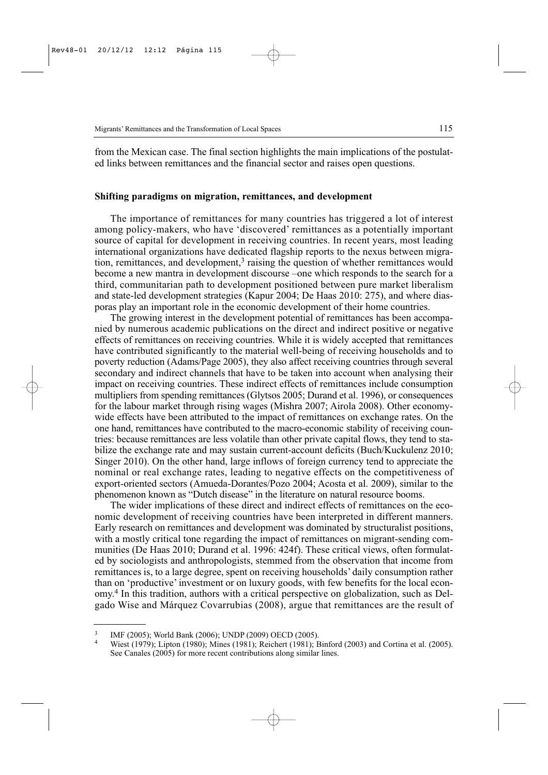from the Mexican case. The final section highlights the main implications of the postulated links between remittances and the financial sector and raises open questions.

### **Shifting paradigms on migration, remittances, and development**

The importance of remittances for many countries has triggered a lot of interest among policy-makers, who have 'discovered' remittances as a potentially important source of capital for development in receiving countries. In recent years, most leading international organizations have dedicated flagship reports to the nexus between migration, remittances, and development, $3$  raising the question of whether remittances would become a new mantra in development discourse –one which responds to the search for a third, communitarian path to development positioned between pure market liberalism and state-led development strategies (Kapur 2004; De Haas 2010: 275), and where diasporas play an important role in the economic development of their home countries.

The growing interest in the development potential of remittances has been accompanied by numerous academic publications on the direct and indirect positive or negative effects of remittances on receiving countries. While it is widely accepted that remittances have contributed significantly to the material well-being of receiving households and to poverty reduction (Adams/Page 2005), they also affect receiving countries through several secondary and indirect channels that have to be taken into account when analysing their impact on receiving countries. These indirect effects of remittances include consumption multipliers from spending remittances (Glytsos 2005; Durand et al. 1996), or consequences for the labour market through rising wages (Mishra 2007; Airola 2008). Other economywide effects have been attributed to the impact of remittances on exchange rates. On the one hand, remittances have contributed to the macro-economic stability of receiving countries: because remittances are less volatile than other private capital flows, they tend to stabilize the exchange rate and may sustain current-account deficits (Buch/Kuckulenz 2010; Singer 2010). On the other hand, large inflows of foreign currency tend to appreciate the nominal or real exchange rates, leading to negative effects on the competitiveness of export-oriented sectors (Amueda-Dorantes/Pozo 2004; Acosta et al. 2009), similar to the phenomenon known as "Dutch disease" in the literature on natural resource booms.

The wider implications of these direct and indirect effects of remittances on the economic development of receiving countries have been interpreted in different manners. Early research on remittances and development was dominated by structuralist positions, with a mostly critical tone regarding the impact of remittances on migrant-sending communities (De Haas 2010; Durand et al. 1996: 424f). These critical views, often formulated by sociologists and anthropologists, stemmed from the observation that income from remittances is, to a large degree, spent on receiving households' daily consumption rather than on 'productive' investment or on luxury goods, with few benefits for the local economy.<sup>4</sup> In this tradition, authors with a critical perspective on globalization, such as Delgado Wise and Márquez Covarrubias (2008), argue that remittances are the result of

<sup>&</sup>lt;sup>3</sup> IMF (2005); World Bank (2006); UNDP (2009) OECD (2005).

<sup>4</sup> Wiest (1979); Lipton (1980); Mines (1981); Reichert (1981); Binford (2003) and Cortina et al. (2005). See Canales (2005) for more recent contributions along similar lines.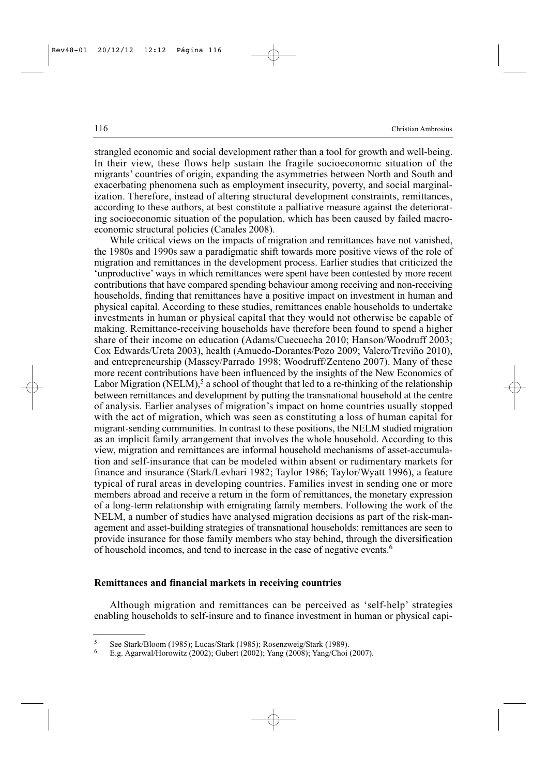strangled economic and social development rather than a tool for growth and well-being. In their view, these flows help sustain the fragile socioeconomic situation of the migrants' countries of origin, expanding the asymmetries between North and South and exacerbating phenomena such as employment insecurity, poverty, and social marginalization. Therefore, instead of altering structural development constraints, remittances, according to these authors, at best constitute a palliative measure against the deteriorating socioeconomic situation of the population, which has been caused by failed macroeconomic structural policies (Canales 2008).

While critical views on the impacts of migration and remittances have not vanished, the 1980s and 1990s saw a paradigmatic shift towards more positive views of the role of migration and remittances in the development process. Earlier studies that criticized the 'unproductive' ways in which remittances were spent have been contested by more recent contributions that have compared spending behaviour among receiving and non-receiving households, finding that remittances have a positive impact on investment in human and physical capital. According to these studies, remittances enable households to undertake investments in human or physical capital that they would not otherwise be capable of making. Remittance-receiving households have therefore been found to spend a higher share of their income on education (Adams/Cuecuecha 2010; Hanson/Woodruff 2003; Cox Edwards/Ureta 2003), health (Amuedo-Dorantes/Pozo 2009; Valero/Treviño 2010), and entrepreneurship (Massey/Parrado 1998; Woodruff/Zenteno 2007). Many of these more recent contributions have been influenced by the insights of the New Economics of Labor Migration (NELM),<sup>5</sup> a school of thought that led to a re-thinking of the relationship between remittances and development by putting the transnational household at the centre of analysis. Earlier analyses of migration's impact on home countries usually stopped with the act of migration, which was seen as constituting a loss of human capital for migrant-sending communities. In contrast to these positions, the NELM studied migration as an implicit family arrangement that involves the whole household. According to this view, migration and remittances are informal household mechanisms of asset-accumulation and self-insurance that can be modeled within absent or rudimentary markets for finance and insurance (Stark/Levhari 1982; Taylor 1986; Taylor/Wyatt 1996), a feature typical of rural areas in developing countries. Families invest in sending one or more members abroad and receive a return in the form of remittances, the monetary expression of a long-term relationship with emigrating family members. Following the work of the NELM, a number of studies have analysed migration decisions as part of the risk-management and asset-building strategies of transnational households: remittances are seen to provide insurance for those family members who stay behind, through the diversification of household incomes, and tend to increase in the case of negative events.6

#### **Remittances and financial markets in receiving countries**

Although migration and remittances can be perceived as 'self-help' strategies enabling households to self-insure and to finance investment in human or physical capi-

<sup>&</sup>lt;sup>5</sup> See Stark/Bloom (1985); Lucas/Stark (1985); Rosenzweig/Stark (1989).<br> $\frac{6}{5}$  E.g. Agapual/Harowitz (2002); Gubart (2002); Vang (2008); Vang/Choi

<sup>6</sup> E.g. Agarwal/Horowitz (2002); Gubert (2002); Yang (2008); Yang/Choi (2007).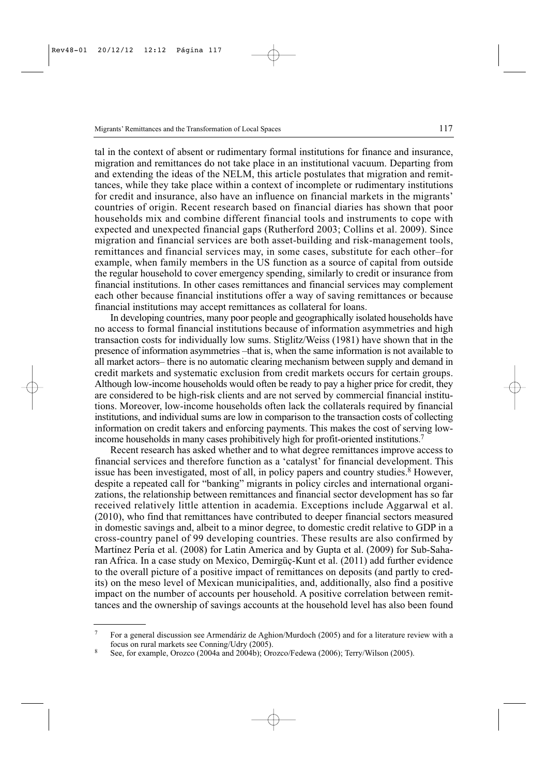tal in the context of absent or rudimentary formal institutions for finance and insurance, migration and remittances do not take place in an institutional vacuum. Departing from and extending the ideas of the NELM, this article postulates that migration and remittances, while they take place within a context of incomplete or rudimentary institutions for credit and insurance, also have an influence on financial markets in the migrants' countries of origin. Recent research based on financial diaries has shown that poor households mix and combine different financial tools and instruments to cope with expected and unexpected financial gaps (Rutherford 2003; Collins et al. 2009). Since migration and financial services are both asset-building and risk-management tools, remittances and financial services may, in some cases, substitute for each other–for example, when family members in the US function as a source of capital from outside the regular household to cover emergency spending, similarly to credit or insurance from financial institutions. In other cases remittances and financial services may complement each other because financial institutions offer a way of saving remittances or because financial institutions may accept remittances as collateral for loans.

In developing countries, many poor people and geographically isolated households have no access to formal financial institutions because of information asymmetries and high transaction costs for individually low sums. Stiglitz/Weiss (1981) have shown that in the presence of information asymmetries –that is, when the same information is not available to all market actors– there is no automatic clearing mechanism between supply and demand in credit markets and systematic exclusion from credit markets occurs for certain groups. Although low-income households would often be ready to pay a higher price for credit, they are considered to be high-risk clients and are not served by commercial financial institutions. Moreover, low-income households often lack the collaterals required by financial institutions, and individual sums are low in comparison to the transaction costs of collecting information on credit takers and enforcing payments. This makes the cost of serving lowincome households in many cases prohibitively high for profit-oriented institutions.<sup>7</sup>

Recent research has asked whether and to what degree remittances improve access to financial services and therefore function as a 'catalyst' for financial development. This issue has been investigated, most of all, in policy papers and country studies.<sup>8</sup> However, despite a repeated call for "banking" migrants in policy circles and international organizations, the relationship between remittances and financial sector development has so far received relatively little attention in academia. Exceptions include Aggarwal et al. (2010), who find that remittances have contributed to deeper financial sectors measured in domestic savings and, albeit to a minor degree, to domestic credit relative to GDP in a cross-country panel of 99 developing countries. These results are also confirmed by Martínez Pería et al. (2008) for Latin America and by Gupta et al. (2009) for Sub-Saharan Africa. In a case study on Mexico, Demirgüç-Kunt et al. (2011) add further evidence to the overall picture of a positive impact of remittances on deposits (and partly to credits) on the meso level of Mexican municipalities, and, additionally, also find a positive impact on the number of accounts per household. A positive correlation between remittances and the ownership of savings accounts at the household level has also been found

<sup>7</sup> For a general discussion see Armendáriz de Aghion/Murdoch (2005) and for a literature review with a focus on rural markets see Conning/Udry (2005).

<sup>8</sup> See, for example, Orozco (2004a and 2004b); Orozco/Fedewa (2006); Terry/Wilson (2005).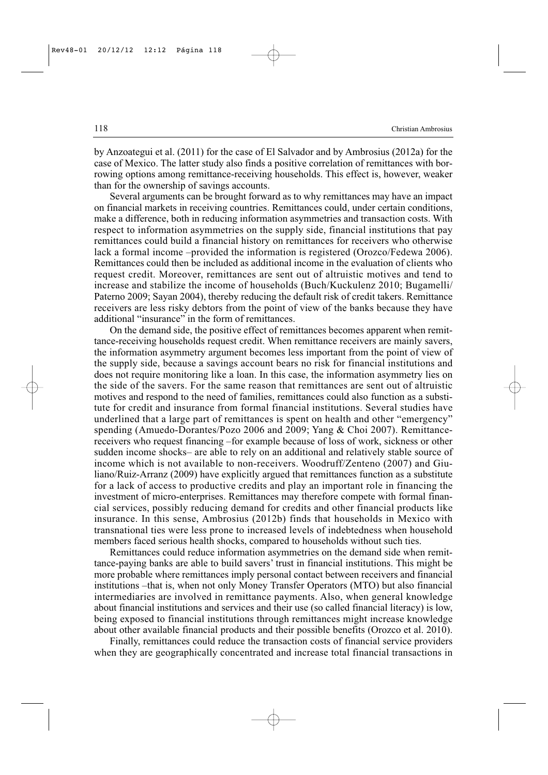by Anzoategui et al. (2011) for the case of El Salvador and by Ambrosius (2012a) for the case of Mexico. The latter study also finds a positive correlation of remittances with borrowing options among remittance-receiving households. This effect is, however, weaker than for the ownership of savings accounts.

Several arguments can be brought forward as to why remittances may have an impact on financial markets in receiving countries. Remittances could, under certain conditions, make a difference, both in reducing information asymmetries and transaction costs. With respect to information asymmetries on the supply side, financial institutions that pay remittances could build a financial history on remittances for receivers who otherwise lack a formal income –provided the information is registered (Orozco/Fedewa 2006). Remittances could then be included as additional income in the evaluation of clients who request credit. Moreover, remittances are sent out of altruistic motives and tend to increase and stabilize the income of households (Buch/Kuckulenz 2010; Bugamelli/ Paterno 2009; Sayan 2004), thereby reducing the default risk of credit takers. Remittance receivers are less risky debtors from the point of view of the banks because they have additional "insurance" in the form of remittances.

On the demand side, the positive effect of remittances becomes apparent when remittance-receiving households request credit. When remittance receivers are mainly savers, the information asymmetry argument becomes less important from the point of view of the supply side, because a savings account bears no risk for financial institutions and does not require monitoring like a loan. In this case, the information asymmetry lies on the side of the savers. For the same reason that remittances are sent out of altruistic motives and respond to the need of families, remittances could also function as a substitute for credit and insurance from formal financial institutions. Several studies have underlined that a large part of remittances is spent on health and other "emergency" spending (Amuedo-Dorantes/Pozo 2006 and 2009; Yang & Choi 2007). Remittancereceivers who request financing –for example because of loss of work, sickness or other sudden income shocks– are able to rely on an additional and relatively stable source of income which is not available to non-receivers. Woodruff/Zenteno (2007) and Giuliano/Ruiz-Arranz (2009) have explicitly argued that remittances function as a substitute for a lack of access to productive credits and play an important role in financing the investment of micro-enterprises. Remittances may therefore compete with formal financial services, possibly reducing demand for credits and other financial products like insurance. In this sense, Ambrosius (2012b) finds that households in Mexico with transnational ties were less prone to increased levels of indebtedness when household members faced serious health shocks, compared to households without such ties.

Remittances could reduce information asymmetries on the demand side when remittance-paying banks are able to build savers' trust in financial institutions. This might be more probable where remittances imply personal contact between receivers and financial institutions –that is, when not only Money Transfer Operators (MTO) but also financial intermediaries are involved in remittance payments. Also, when general knowledge about financial institutions and services and their use (so called financial literacy) is low, being exposed to financial institutions through remittances might increase knowledge about other available financial products and their possible benefits (Orozco et al. 2010).

Finally, remittances could reduce the transaction costs of financial service providers when they are geographically concentrated and increase total financial transactions in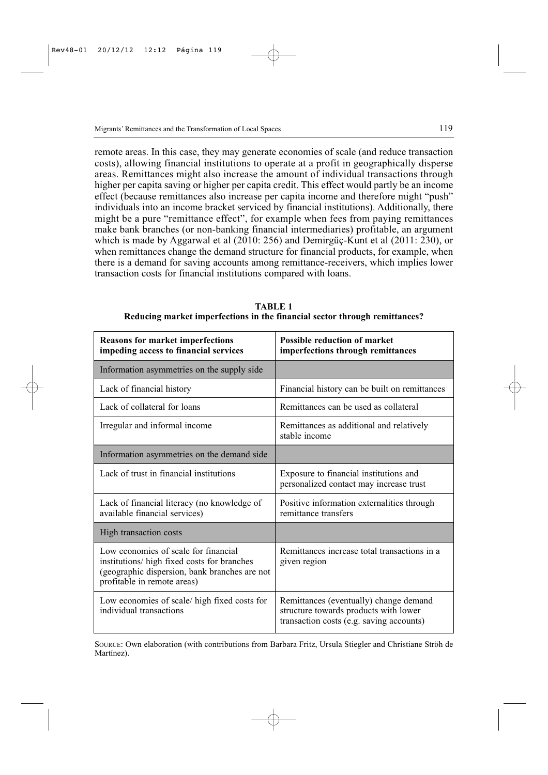remote areas. In this case, they may generate economies of scale (and reduce transaction costs), allowing financial institutions to operate at a profit in geographically disperse areas. Remittances might also increase the amount of individual transactions through higher per capita saving or higher per capita credit. This effect would partly be an income effect (because remittances also increase per capita income and therefore might "push" individuals into an income bracket serviced by financial institutions). Additionally, there might be a pure "remittance effect", for example when fees from paying remittances make bank branches (or non-banking financial intermediaries) profitable, an argument which is made by Aggarwal et al (2010: 256) and Demirgüç-Kunt et al (2011: 230), or when remittances change the demand structure for financial products, for example, when there is a demand for saving accounts among remittance-receivers, which implies lower transaction costs for financial institutions compared with loans.

| <b>Reasons for market imperfections</b><br>impeding access to financial services                                                                                    | <b>Possible reduction of market</b><br>imperfections through remittances                                                    |  |  |
|---------------------------------------------------------------------------------------------------------------------------------------------------------------------|-----------------------------------------------------------------------------------------------------------------------------|--|--|
| Information asymmetries on the supply side                                                                                                                          |                                                                                                                             |  |  |
| Lack of financial history                                                                                                                                           | Financial history can be built on remittances                                                                               |  |  |
| Lack of collateral for loans                                                                                                                                        | Remittances can be used as collateral                                                                                       |  |  |
| Irregular and informal income                                                                                                                                       | Remittances as additional and relatively<br>stable income                                                                   |  |  |
| Information asymmetries on the demand side                                                                                                                          |                                                                                                                             |  |  |
| Lack of trust in financial institutions                                                                                                                             | Exposure to financial institutions and<br>personalized contact may increase trust                                           |  |  |
| Lack of financial literacy (no knowledge of<br>available financial services)                                                                                        | Positive information externalities through<br>remittance transfers                                                          |  |  |
| High transaction costs                                                                                                                                              |                                                                                                                             |  |  |
| Low economies of scale for financial<br>institutions/ high fixed costs for branches<br>(geographic dispersion, bank branches are not<br>profitable in remote areas) | Remittances increase total transactions in a<br>given region                                                                |  |  |
| Low economies of scale/ high fixed costs for<br>individual transactions                                                                                             | Remittances (eventually) change demand<br>structure towards products with lower<br>transaction costs (e.g. saving accounts) |  |  |

**TABLE 1 Reducing market imperfections in the financial sector through remittances?**

SOURCE: Own elaboration (with contributions from Barbara Fritz, Ursula Stiegler and Christiane Ströh de Martínez).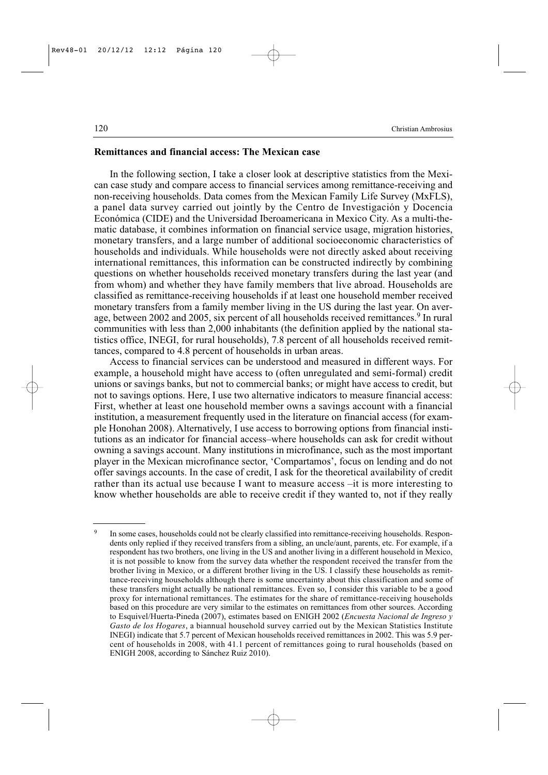# **Remittances and financial access: The Mexican case**

In the following section, I take a closer look at descriptive statistics from the Mexican case study and compare access to financial services among remittance-receiving and non-receiving households. Data comes from the Mexican Family Life Survey (MxFLS), a panel data survey carried out jointly by the Centro de Investigación y Docencia Económica (CIDE) and the Universidad Iberoamericana in Mexico City. As a multi-thematic database, it combines information on financial service usage, migration histories, monetary transfers, and a large number of additional socioeconomic characteristics of households and individuals. While households were not directly asked about receiving international remittances, this information can be constructed indirectly by combining questions on whether households received monetary transfers during the last year (and from whom) and whether they have family members that live abroad. Households are classified as remittance-receiving households if at least one household member received monetary transfers from a family member living in the US during the last year. On average, between 2002 and 2005, six percent of all households received remittances.<sup>9</sup> In rural communities with less than 2,000 inhabitants (the definition applied by the national statistics office, INEGI, for rural households), 7.8 percent of all households received remittances, compared to 4.8 percent of households in urban areas.

Access to financial services can be understood and measured in different ways. For example, a household might have access to (often unregulated and semi-formal) credit unions or savings banks, but not to commercial banks; or might have access to credit, but not to savings options. Here, I use two alternative indicators to measure financial access: First, whether at least one household member owns a savings account with a financial institution, a measurement frequently used in the literature on financial access (for example Honohan 2008). Alternatively, I use access to borrowing options from financial institutions as an indicator for financial access–where households can ask for credit without owning a savings account. Many institutions in microfinance, such as the most important player in the Mexican microfinance sector, 'Compartamos', focus on lending and do not offer savings accounts. In the case of credit, I ask for the theoretical availability of credit rather than its actual use because I want to measure access –it is more interesting to know whether households are able to receive credit if they wanted to, not if they really

<sup>&</sup>lt;sup>9</sup> In some cases, households could not be clearly classified into remittance-receiving households. Respondents only replied if they received transfers from a sibling, an uncle/aunt, parents, etc. For example, if a respondent has two brothers, one living in the US and another living in a different household in Mexico, it is not possible to know from the survey data whether the respondent received the transfer from the brother living in Mexico, or a different brother living in the US. I classify these households as remittance-receiving households although there is some uncertainty about this classification and some of these transfers might actually be national remittances. Even so, I consider this variable to be a good proxy for international remittances. The estimates for the share of remittance-receiving households based on this procedure are very similar to the estimates on remittances from other sources. According to Esquivel/Huerta-Pineda (2007), estimates based on ENIGH 2002 (*Encuesta Nacional de Ingreso y Gasto de los Hogares*, a biannual household survey carried out by the Mexican Statistics Institute INEGI) indicate that 5.7 percent of Mexican households received remittances in 2002. This was 5.9 percent of households in 2008, with 41.1 percent of remittances going to rural households (based on ENIGH 2008, according to Sánchez Ruiz 2010).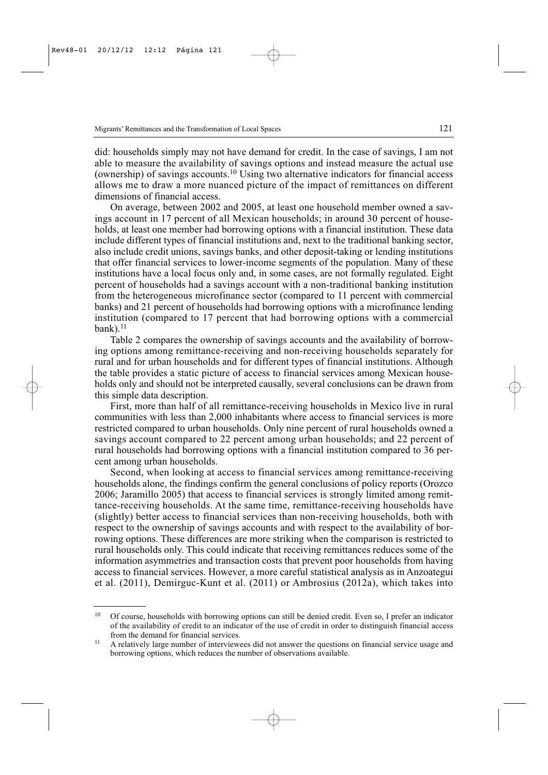did: households simply may not have demand for credit. In the case of savings, I am not able to measure the availability of savings options and instead measure the actual use (ownership) of savings accounts.<sup>10</sup> Using two alternative indicators for financial access allows me to draw a more nuanced picture of the impact of remittances on different dimensions of financial access.

On average, between 2002 and 2005, at least one household member owned a savings account in 17 percent of all Mexican households; in around 30 percent of households, at least one member had borrowing options with a financial institution. These data include different types of financial institutions and, next to the traditional banking sector, also include credit unions, savings banks, and other deposit-taking or lending institutions that offer financial services to lower-income segments of the population. Many of these institutions have a local focus only and, in some cases, are not formally regulated. Eight percent of households had a savings account with a non-traditional banking institution from the heterogeneous microfinance sector (compared to 11 percent with commercial banks) and 21 percent of households had borrowing options with a microfinance lending institution (compared to 17 percent that had borrowing options with a commercial  $bank$ ).<sup>11</sup>

Table 2 compares the ownership of savings accounts and the availability of borrowing options among remittance-receiving and non-receiving households separately for rural and for urban households and for different types of financial institutions. Although the table provides a static picture of access to financial services among Mexican households only and should not be interpreted causally, several conclusions can be drawn from this simple data description.

First, more than half of all remittance-receiving households in Mexico live in rural communities with less than 2,000 inhabitants where access to financial services is more restricted compared to urban households. Only nine percent of rural households owned a savings account compared to 22 percent among urban households; and 22 percent of rural households had borrowing options with a financial institution compared to 36 percent among urban households.

Second, when looking at access to financial services among remittance-receiving households alone, the findings confirm the general conclusions of policy reports (Orozco 2006; Jaramillo 2005) that access to financial services is strongly limited among remittance-receiving households. At the same time, remittance-receiving households have (slightly) better access to financial services than non-receiving households, both with respect to the ownership of savings accounts and with respect to the availability of borrowing options. These differences are more striking when the comparison is restricted to rural households only. This could indicate that receiving remittances reduces some of the information asymmetries and transaction costs that prevent poor households from having access to financial services. However, a more careful statistical analysis as in Anzoategui et al. (2011), Demirguc-Kunt et al. (2011) or Ambrosius (2012a), which takes into

<sup>&</sup>lt;sup>10</sup> Of course, households with borrowing options can still be denied credit. Even so, I prefer an indicator of the availability of credit to an indicator of the use of credit in order to distinguish financial access from the demand for financial services.

<sup>&</sup>lt;sup>11</sup> A relatively large number of interviewees did not answer the questions on financial service usage and borrowing options, which reduces the number of observations available.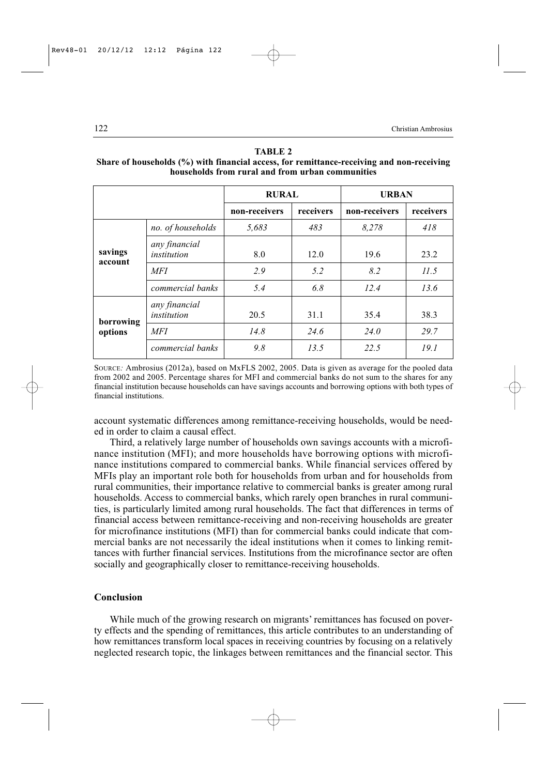|                      |                              | <b>RURAL</b>  |           | <b>URBAN</b>  |           |
|----------------------|------------------------------|---------------|-----------|---------------|-----------|
|                      |                              | non-receivers | receivers | non-receivers | receivers |
| savings<br>account   | no. of households            | 5,683         | 483       | 8,278         | 418       |
|                      | any financial<br>institution | 8.0           | 12.0      | 19.6          | 23.2      |
|                      | <b>MFI</b>                   | 2.9           | 5.2       | 8.2           | 11.5      |
|                      | commercial banks             | 5.4           | 6.8       | 12.4          | 13.6      |
| borrowing<br>options | any financial<br>institution | 20.5          | 31.1      | 35.4          | 38.3      |
|                      | <b>MFI</b>                   | 14.8          | 24.6      | 24.0          | 29.7      |
|                      | commercial banks             | 9.8           | 13.5      | 22.5          | 19.1      |

#### **TABLE 2**

# **Share of households (%) with financial access, for remittance-receiving and non-receiving households from rural and from urban communities**

SOURCE*:* Ambrosius (2012a), based on MxFLS 2002, 2005. Data is given as average for the pooled data from 2002 and 2005. Percentage shares for MFI and commercial banks do not sum to the shares for any financial institution because households can have savings accounts and borrowing options with both types of financial institutions.

account systematic differences among remittance-receiving households, would be needed in order to claim a causal effect.

Third, a relatively large number of households own savings accounts with a microfinance institution (MFI); and more households have borrowing options with microfinance institutions compared to commercial banks. While financial services offered by MFIs play an important role both for households from urban and for households from rural communities, their importance relative to commercial banks is greater among rural households. Access to commercial banks, which rarely open branches in rural communities, is particularly limited among rural households. The fact that differences in terms of financial access between remittance-receiving and non-receiving households are greater for microfinance institutions (MFI) than for commercial banks could indicate that commercial banks are not necessarily the ideal institutions when it comes to linking remittances with further financial services. Institutions from the microfinance sector are often socially and geographically closer to remittance-receiving households.

## **Conclusion**

While much of the growing research on migrants' remittances has focused on poverty effects and the spending of remittances, this article contributes to an understanding of how remittances transform local spaces in receiving countries by focusing on a relatively neglected research topic, the linkages between remittances and the financial sector. This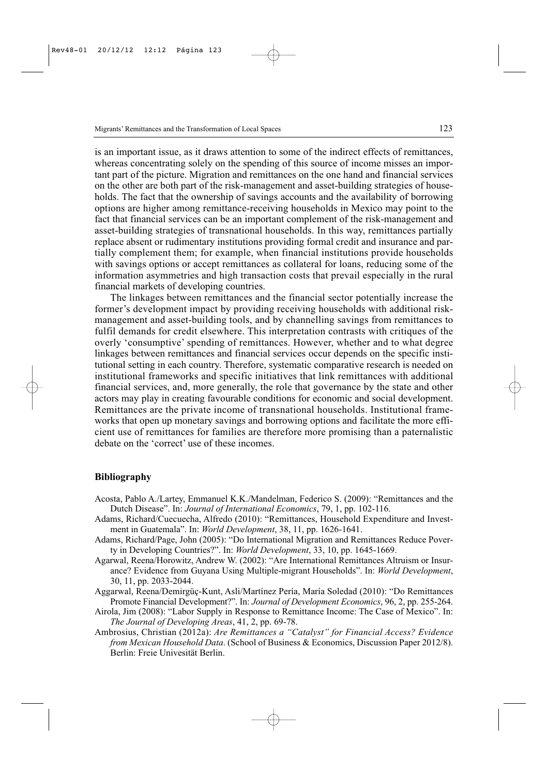is an important issue, as it draws attention to some of the indirect effects of remittances, whereas concentrating solely on the spending of this source of income misses an important part of the picture. Migration and remittances on the one hand and financial services on the other are both part of the risk-management and asset-building strategies of households. The fact that the ownership of savings accounts and the availability of borrowing options are higher among remittance-receiving households in Mexico may point to the fact that financial services can be an important complement of the risk-management and asset-building strategies of transnational households. In this way, remittances partially replace absent or rudimentary institutions providing formal credit and insurance and partially complement them; for example, when financial institutions provide households with savings options or accept remittances as collateral for loans, reducing some of the information asymmetries and high transaction costs that prevail especially in the rural financial markets of developing countries.

The linkages between remittances and the financial sector potentially increase the former's development impact by providing receiving households with additional riskmanagement and asset-building tools, and by channelling savings from remittances to fulfil demands for credit elsewhere. This interpretation contrasts with critiques of the overly 'consumptive' spending of remittances. However, whether and to what degree linkages between remittances and financial services occur depends on the specific institutional setting in each country. Therefore, systematic comparative research is needed on institutional frameworks and specific initiatives that link remittances with additional financial services, and, more generally, the role that governance by the state and other actors may play in creating favourable conditions for economic and social development. Remittances are the private income of transnational households. Institutional frameworks that open up monetary savings and borrowing options and facilitate the more efficient use of remittances for families are therefore more promising than a paternalistic debate on the 'correct' use of these incomes.

#### **Bibliography**

- Acosta, Pablo A./Lartey, Emmanuel K.K./Mandelman, Federico S. (2009): "Remittances and the Dutch Disease". In: *Journal of International Economics*, 79, 1, pp. 102-116.
- Adams, Richard/Cuecuecha, Alfredo (2010): "Remittances, Household Expenditure and Investment in Guatemala". In: *World Development*, 38, 11, pp. 1626-1641.
- Adams, Richard/Page, John (2005): "Do International Migration and Remittances Reduce Poverty in Developing Countries?". In: *World Development*, 33, 10, pp. 1645-1669.
- Agarwal, Reena/Horowitz, Andrew W. (2002): "Are International Remittances Altruism or Insurance? Evidence from Guyana Using Multiple-migrant Households". In: *World Development*, 30, 11, pp. 2033-2044.
- Aggarwal, Reena/Demirgüç-Kunt, Asli/Martínez Pería, María Soledad (2010): "Do Remittances Promote Financial Development?". In: *Journal of Development Economics*, 96, 2, pp. 255-264.
- Airola, Jim (2008): "Labor Supply in Response to Remittance Income: The Case of Mexico". In: *The Journal of Developing Areas*, 41, 2, pp. 69-78.
- Ambrosius, Christian (2012a): *Are Remittances a "Catalyst" for Financial Access? Evidence from Mexican Household Data*. (School of Business & Economics, Discussion Paper 2012/8). Berlin: Freie Univesität Berlin.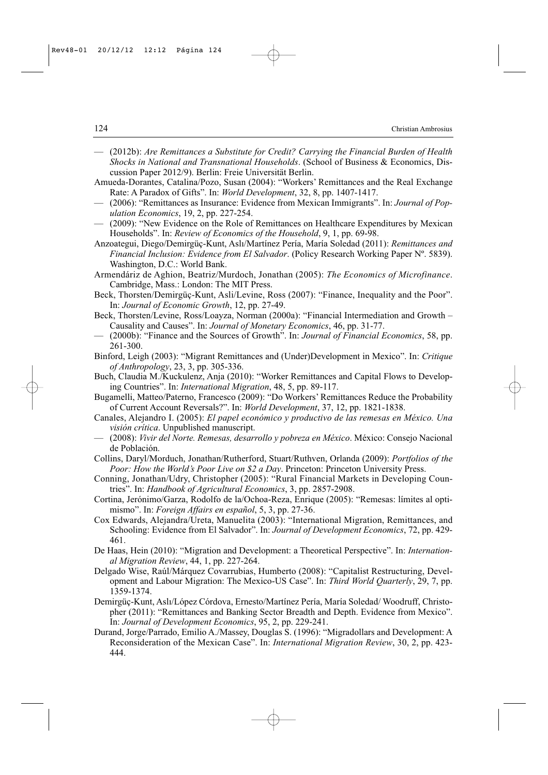- (2012b): *Are Remittances a Substitute for Credit? Carrying the Financial Burden of Health Shocks in National and Transnational Households*. (School of Business & Economics, Discussion Paper 2012/9). Berlin: Freie Universität Berlin.
- Amueda-Dorantes, Catalina/Pozo, Susan (2004): "Workers' Remittances and the Real Exchange Rate: A Paradox of Gifts". In: *World Development*, 32, 8, pp. 1407-1417.
- (2006): "Remittances as Insurance: Evidence from Mexican Immigrants". In: *Journal of Population Economics*, 19, 2, pp. 227-254.
- (2009): "New Evidence on the Role of Remittances on Healthcare Expenditures by Mexican Households". In: *Review of Economics of the Household*, 9, 1, pp. 69-98.
- Anzoategui, Diego/Demirgüç-Kunt, Aslı/Martínez Pería, María Soledad (2011): *Remittances and Financial Inclusion: Evidence from El Salvador*. (Policy Research Working Paper Nº. 5839). Washington, D.C.: World Bank.
- Armendáriz de Aghion, Beatriz/Murdoch, Jonathan (2005): *The Economics of Microfinance*. Cambridge, Mass.: London: The MIT Press.
- Beck, Thorsten/Demirgüç-Kunt, Asli/Levine, Ross (2007): "Finance, Inequality and the Poor". In: *Journal of Economic Growth*, 12, pp. 27-49.
- Beck, Thorsten/Levine, Ross/Loayza, Norman (2000a): "Financial Intermediation and Growth Causality and Causes". In: *Journal of Monetary Economics*, 46, pp. 31-77.
- (2000b): "Finance and the Sources of Growth". In: *Journal of Financial Economics*, 58, pp. 261-300.
- Binford, Leigh (2003): "Migrant Remittances and (Under)Development in Mexico". In: *Critique of Anthropology*, 23, 3, pp. 305-336.
- Buch, Claudia M./Kuckulenz, Anja (2010): "Worker Remittances and Capital Flows to Developing Countries". In: *International Migration*, 48, 5, pp. 89-117.
- Bugamelli, Matteo/Paterno, Francesco (2009): "Do Workers' Remittances Reduce the Probability of Current Account Reversals?". In: *World Development*, 37, 12, pp. 1821-1838.
- Canales, Alejandro I. (2005): *El papel económico y productivo de las remesas en México. Una visión crítica*. Unpublished manuscript.
- (2008): *Vivir del Norte. Remesas, desarrollo y pobreza en México*. México: Consejo Nacional de Población.
- Collins, Daryl/Morduch, Jonathan/Rutherford, Stuart/Ruthven, Orlanda (2009): *Portfolios of the Poor: How the World's Poor Live on \$2 a Day*. Princeton: Princeton University Press.
- Conning, Jonathan/Udry, Christopher (2005): "Rural Financial Markets in Developing Countries". In: *Handbook of Agricultural Economics*, 3, pp. 2857-2908.
- Cortina, Jerónimo/Garza, Rodolfo de la/Ochoa-Reza, Enrique (2005): "Remesas: límites al optimismo". In: *Foreign Affairs en español*, 5, 3, pp. 27-36.
- Cox Edwards, Alejandra/Ureta, Manuelita (2003): "International Migration, Remittances, and Schooling: Evidence from El Salvador". In: *Journal of Development Economics*, 72, pp. 429- 461.
- De Haas, Hein (2010): "Migration and Development: a Theoretical Perspective". In: *International Migration Review*, 44, 1, pp. 227-264.
- Delgado Wise, Raúl/Márquez Covarrubias, Humberto (2008): "Capitalist Restructuring, Development and Labour Migration: The Mexico-US Case". In: *Third World Quarterly*, 29, 7, pp. 1359-1374.
- Demirgüç-Kunt, Aslı/López Córdova, Ernesto/Martínez Pería, María Soledad/ Woodruff, Christopher (2011): "Remittances and Banking Sector Breadth and Depth. Evidence from Mexico". In: *Journal of Development Economics*, 95, 2, pp. 229-241.
- Durand, Jorge/Parrado, Emilio A./Massey, Douglas S. (1996): "Migradollars and Development: A Reconsideration of the Mexican Case". In: *International Migration Review*, 30, 2, pp. 423- 444.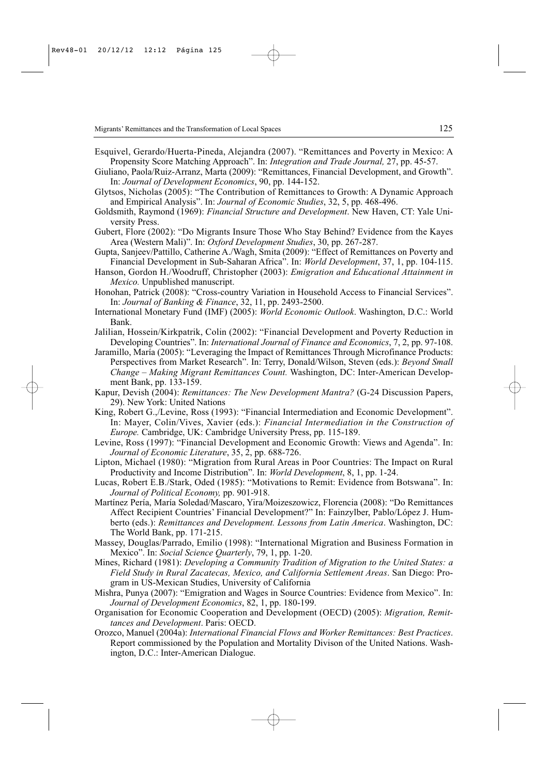- Esquivel, Gerardo/Huerta-Pineda, Alejandra (2007). "Remittances and Poverty in Mexico: A Propensity Score Matching Approach". In: *Integration and Trade Journal,* 27, pp. 45-57.
- Giuliano, Paola/Ruiz-Arranz, Marta (2009): "Remittances, Financial Development, and Growth". In: *Journal of Development Economics*, 90, pp. 144-152.
- Glytsos, Nicholas (2005): "The Contribution of Remittances to Growth: A Dynamic Approach and Empirical Analysis". In: *Journal of Economic Studies*, 32, 5, pp. 468-496.
- Goldsmith, Raymond (1969): *Financial Structure and Development*. New Haven, CT: Yale University Press.
- Gubert, Flore (2002): "Do Migrants Insure Those Who Stay Behind? Evidence from the Kayes Area (Western Mali)". In: *Oxford Development Studies*, 30, pp. 267-287.
- Gupta, Sanjeev/Pattillo, Catherine A./Wagh, Smita (2009): "Effect of Remittances on Poverty and Financial Development in Sub-Saharan Africa". In: *World Development*, 37, 1, pp. 104-115.
- Hanson, Gordon H./Woodruff, Christopher (2003): *Emigration and Educational Attainment in Mexico.* Unpublished manuscript.
- Honohan, Patrick (2008): "Cross-country Variation in Household Access to Financial Services". In: *Journal of Banking & Finance*, 32, 11, pp. 2493-2500.
- International Monetary Fund (IMF) (2005): *World Economic Outlook*. Washington, D.C.: World Bank.
- Jalilian, Hossein/Kirkpatrik, Colin (2002): "Financial Development and Poverty Reduction in Developing Countries". In: *International Journal of Finance and Economics*, 7, 2, pp. 97-108.
- Jaramillo, María (2005): "Leveraging the Impact of Remittances Through Microfinance Products: Perspectives from Market Research". In: Terry, Donald/Wilson, Steven (eds.): *Beyond Small Change – Making Migrant Remittances Count.* Washington, DC: Inter-American Development Bank, pp. 133-159.
- Kapur, Devish (2004): *Remittances: The New Development Mantra?* (G-24 Discussion Papers, 29). New York: United Nations
- King, Robert G.,/Levine, Ross (1993): "Financial Intermediation and Economic Development". In: Mayer, Colin/Vives, Xavier (eds.): *Financial Intermediation in the Construction of Europe.* Cambridge, UK: Cambridge University Press, pp. 115-189.
- Levine, Ross (1997): "Financial Development and Economic Growth: Views and Agenda". In: *Journal of Economic Literature*, 35, 2, pp. 688-726.
- Lipton, Michael (1980): "Migration from Rural Areas in Poor Countries: The Impact on Rural Productivity and Income Distribution". In: *World Development*, 8, 1, pp. 1-24.
- Lucas, Robert E.B./Stark, Oded (1985): "Motivations to Remit: Evidence from Botswana". In: *Journal of Political Economy,* pp. 901-918.
- Martínez Pería, María Soledad/Mascaro, Yira/Moizeszowicz, Florencia (2008): "Do Remittances Affect Recipient Countries' Financial Development?" In: Fainzylber, Pablo/López J. Humberto (eds.): *Remittances and Development. Lessons from Latin America*. Washington, DC: The World Bank, pp. 171-215.
- Massey, Douglas/Parrado, Emilio (1998): "International Migration and Business Formation in Mexico". In: *Social Science Quarterly*, 79, 1, pp. 1-20.
- Mines, Richard (1981): *Developing a Community Tradition of Migration to the United States: a Field Study in Rural Zacatecas, Mexico, and California Settlement Areas*. San Diego: Program in US-Mexican Studies, University of California
- Mishra, Punya (2007): "Emigration and Wages in Source Countries: Evidence from Mexico". In: *Journal of Development Economics*, 82, 1, pp. 180-199.
- Organisation for Economic Cooperation and Development (OECD) (2005): *Migration, Remittances and Development*. Paris: OECD.
- Orozco, Manuel (2004a): *International Financial Flows and Worker Remittances: Best Practices*. Report commissioned by the Population and Mortality Divison of the United Nations. Washington, D.C.: Inter-American Dialogue.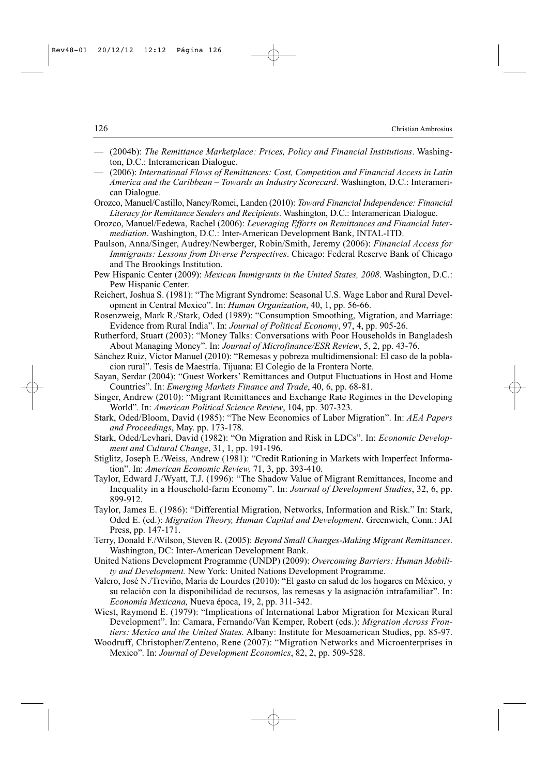- (2004b): *The Remittance Marketplace: Prices, Policy and Financial Institutions*. Washington, D.C.: Interamerican Dialogue.
- (2006): *International Flows of Remittances: Cost, Competition and Financial Access in Latin America and the Caribbean – Towards an Industry Scorecard*. Washington, D.C.: Interamerican Dialogue.
- Orozco, Manuel/Castillo, Nancy/Romei, Landen (2010): *Toward Financial Independence: Financial Literacy for Remittance Senders and Recipients*. Washington, D.C.: Interamerican Dialogue.
- Orozco, Manuel/Fedewa, Rachel (2006): *Leveraging Efforts on Remittances and Financial Intermediation*. Washington, D.C.: Inter-American Development Bank, INTAL-ITD.
- Paulson, Anna/Singer, Audrey/Newberger, Robin/Smith, Jeremy (2006): *Financial Access for Immigrants: Lessons from Diverse Perspectives*. Chicago: Federal Reserve Bank of Chicago and The Brookings Institution.
- Pew Hispanic Center (2009): *Mexican Immigrants in the United States, 2008*. Washington, D.C.: Pew Hispanic Center.
- Reichert, Joshua S. (1981): "The Migrant Syndrome: Seasonal U.S. Wage Labor and Rural Development in Central Mexico". In: *Human Organization*, 40, 1, pp. 56-66.
- Rosenzweig, Mark R./Stark, Oded (1989): "Consumption Smoothing, Migration, and Marriage: Evidence from Rural India". In: *Journal of Political Economy*, 97, 4, pp. 905-26.
- Rutherford, Stuart (2003): "Money Talks: Conversations with Poor Households in Bangladesh About Managing Money". In: *Journal of Microfinance/ESR Review*, 5, 2, pp. 43-76.
- Sánchez Ruiz, Víctor Manuel (2010): "Remesas y pobreza multidimensional: El caso de la poblacion rural". Tesis de Maestría. Tijuana: El Colegio de la Frontera Norte.
- Sayan, Serdar (2004): "Guest Workers' Remittances and Output Fluctuations in Host and Home Countries". In: *Emerging Markets Finance and Trade*, 40, 6, pp. 68-81.
- Singer, Andrew (2010): "Migrant Remittances and Exchange Rate Regimes in the Developing World". In: *American Political Science Review*, 104, pp. 307-323.
- Stark, Oded/Bloom, David (1985): "The New Economics of Labor Migration". In: *AEA Papers and Proceedings*, May. pp. 173-178.
- Stark, Oded/Levhari, David (1982): "On Migration and Risk in LDCs". In: *Economic Development and Cultural Change*, 31, 1, pp. 191-196.
- Stiglitz, Joseph E./Weiss, Andrew (1981): "Credit Rationing in Markets with Imperfect Information". In: *American Economic Review,* 71, 3, pp. 393-410.
- Taylor, Edward J./Wyatt, T.J. (1996): "The Shadow Value of Migrant Remittances, Income and Inequality in a Household-farm Economy". In: *Journal of Development Studies*, 32, 6, pp. 899-912.
- Taylor, James E. (1986): "Differential Migration, Networks, Information and Risk." In: Stark, Oded E. (ed.): *Migration Theory, Human Capital and Development*. Greenwich, Conn.: JAI Press, pp. 147-171.
- Terry, Donald F./Wilson, Steven R. (2005): *Beyond Small Changes-Making Migrant Remittances*. Washington, DC: Inter-American Development Bank.
- United Nations Development Programme (UNDP) (2009): *Overcoming Barriers: Human Mobility and Development.* New York: United Nations Development Programme.
- Valero, José N./Treviño, María de Lourdes (2010): "El gasto en salud de los hogares en México, y su relación con la disponibilidad de recursos, las remesas y la asignación intrafamiliar". In: *Economía Mexicana,* Nueva época, 19, 2, pp. 311-342.
- Wiest, Raymond E. (1979): "Implications of International Labor Migration for Mexican Rural Development". In: Camara, Fernando/Van Kemper, Robert (eds.): *Migration Across Frontiers: Mexico and the United States.* Albany: Institute for Mesoamerican Studies, pp. 85-97.
- Woodruff, Christopher/Zenteno, Rene (2007): "Migration Networks and Microenterprises in Mexico". In: *Journal of Development Economics*, 82, 2, pp. 509-528.